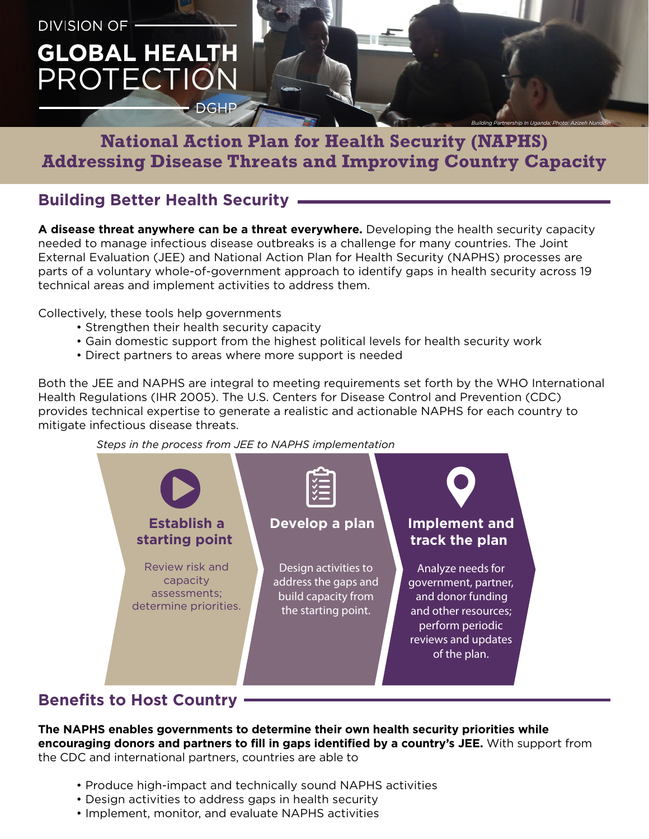

# **National Action Plan for Health Security (NAPHS) Addressing Disease Threats and Improving Country Capacity**

#### **Building Better Health Security**

**A disease threat anywhere can be a threat everywhere.** Developing the health security capacity needed to manage infectious disease outbreaks is a challenge for many countries. The Joint External Evaluation (JEE) and National Action Plan for Health Security (NAPHS) processes are parts of a voluntary whole-of-government approach to identify gaps in health security across 19 technical areas and implement activities to address them.

Collectively, these tools help governments

- Strengthen their health security capacity
- Gain domestic support from the highest political levels for health security work
- Direct partners to areas where more support is needed

Both the JEE and NAPHS are integral to meeting requirements set forth by the WHO International Health Regulations (IHR 2005). The U.S. Centers for Disease Control and Prevention (CDC) provides technical expertise to generate a realistic and actionable NAPHS for each country to mitigate infectious disease threats.





### **Benefits to Host Country**

**The NAPHS enables governments to determine their own health security priorities while encouraging donors and partners to fill in gaps identified by a country's JEE.** With support from the CDC and international partners, countries are able to

- Produce high-impact and technically sound NAPHS activities
- Design activities to address gaps in health security
- Implement, monitor, and evaluate NAPHS activities